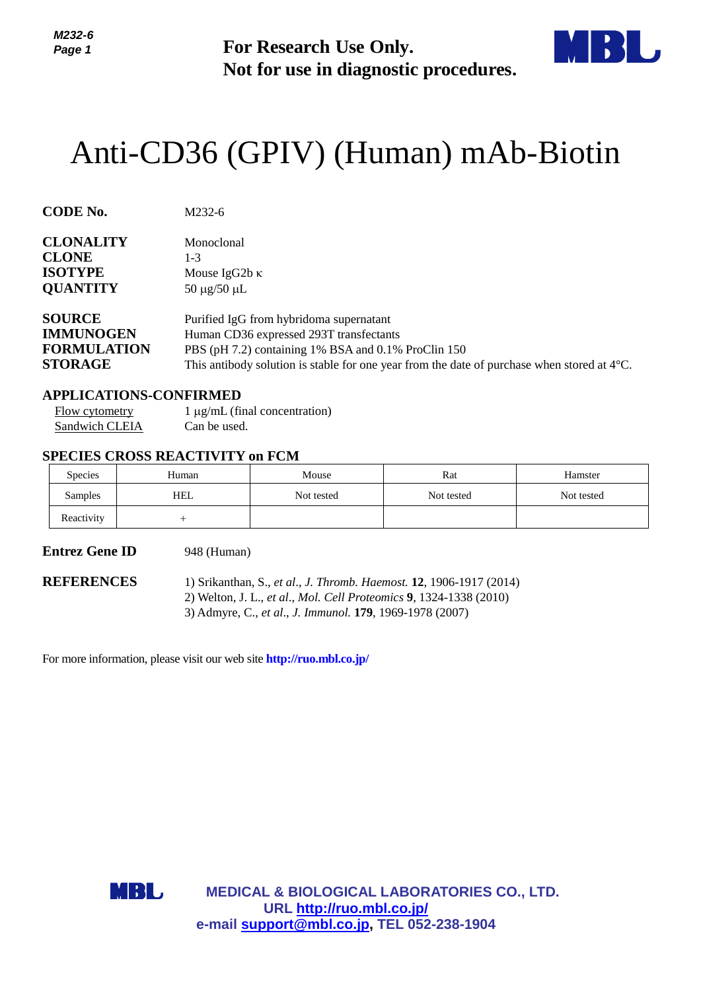

# Anti-CD36 (GPIV) (Human) mAb-Biotin

| Page 1                                                                    |                                                                              | <b>For Research Use Only.</b><br>Not for use in diagnostic procedures.                                                                                                                                                                             |            |            |  |  |
|---------------------------------------------------------------------------|------------------------------------------------------------------------------|----------------------------------------------------------------------------------------------------------------------------------------------------------------------------------------------------------------------------------------------------|------------|------------|--|--|
|                                                                           | Anti-CD36 (GPIV) (Human) mAb-Biotin                                          |                                                                                                                                                                                                                                                    |            |            |  |  |
| <b>CODE No.</b>                                                           | M232-6                                                                       |                                                                                                                                                                                                                                                    |            |            |  |  |
| <b>CLONALITY</b><br><b>CLONE</b><br><b>ISOTYPE</b><br><b>QUANTITY</b>     | Monoclonal<br>$1-3$<br>50 μg/50 μL                                           | Mouse IgG2b κ                                                                                                                                                                                                                                      |            |            |  |  |
| <b>SOURCE</b><br><b>IMMUNOGEN</b><br><b>FORMULATION</b><br><b>STORAGE</b> |                                                                              | Purified IgG from hybridoma supernatant<br>Human CD36 expressed 293T transfectants<br>PBS (pH 7.2) containing 1% BSA and 0.1% ProClin 150<br>This antibody solution is stable for one year from the date of purchase when stored at $4^{\circ}$ C. |            |            |  |  |
| Flow cytometry<br>Sandwich CLEIA                                          | <b>APPLICATIONS-CONFIRMED</b><br>Can be used.                                | $1 \mu g/mL$ (final concentration)                                                                                                                                                                                                                 |            |            |  |  |
|                                                                           | <b>SPECIES CROSS REACTIVITY on FCM</b>                                       |                                                                                                                                                                                                                                                    |            |            |  |  |
| Species                                                                   | Human                                                                        | Mouse                                                                                                                                                                                                                                              | Rat        | Hamster    |  |  |
| Samples<br>Reactivity                                                     | <b>HEL</b><br>$\! + \!\!\!\!$                                                | Not tested                                                                                                                                                                                                                                         | Not tested | Not tested |  |  |
|                                                                           |                                                                              |                                                                                                                                                                                                                                                    |            |            |  |  |
| <b>Entrez Gene ID</b><br><b>REFERENCES</b>                                | 948 (Human)                                                                  | 1) Srikanthan, S., et al., J. Thromb. Haemost. 12, 1906-1917 (2014)<br>2) Welton, J. L., et al., Mol. Cell Proteomics 9, 1324-1338 (2010)<br>3) Admyre, C., et al., J. Immunol. 179, 1969-1978 (2007)                                              |            |            |  |  |
|                                                                           | For more information, please visit our web site <b>http://ruo.mbl.co.jp/</b> |                                                                                                                                                                                                                                                    |            |            |  |  |
|                                                                           |                                                                              |                                                                                                                                                                                                                                                    |            |            |  |  |
|                                                                           | MBL,                                                                         | <b>MEDICAL &amp; BIOLOGICAL LABORATORIES CO., LTD.</b><br>URL http://ruo.mbl.co.jp/<br>e-mail support@mbl.co.jp, TEL 052-238-1904                                                                                                                  |            |            |  |  |

## **APPLICATIONS-CONFIRMED**

## **SPECIES CROSS REACTIVITY on FCM**

| <b>Species</b> | Human | Mouse      | Rat        | Hamster    |
|----------------|-------|------------|------------|------------|
| Samples        | HEL   | Not tested | Not tested | Not tested |
| Reactivity     |       |            |            |            |

### **Entrez Gene ID** 948 (Human)

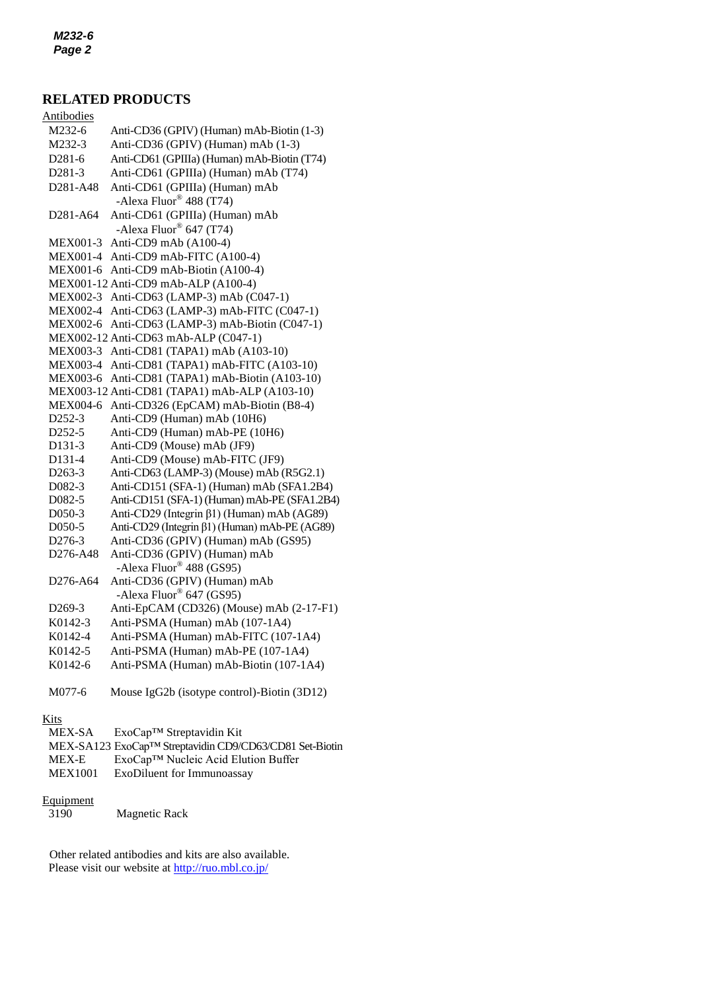# **RELATED PRODUCTS**

| <b>Antibodies</b>                 |                                                          |
|-----------------------------------|----------------------------------------------------------|
| M232-6                            | Anti-CD36 (GPIV) (Human) mAb-Biotin (1-3)                |
| M232-3                            | Anti-CD36 (GPIV) (Human) mAb (1-3)                       |
| D281-6                            | Anti-CD61 (GPIIIa) (Human) mAb-Biotin (T74)              |
| D281-3                            | Anti-CD61 (GPIIIa) (Human) mAb (T74)                     |
| D281-A48                          | Anti-CD61 (GPIIIa) (Human) mAb                           |
|                                   | -Alexa Fluor <sup>®</sup> 488 (T74)                      |
| D <sub>281</sub> -A <sub>64</sub> | Anti-CD61 (GPIIIa) (Human) mAb                           |
|                                   | -Alexa Fluor® 647 (T74)                                  |
| MEX001-3                          | Anti-CD9 mAb (A100-4)                                    |
| <b>MEX001-4</b>                   | Anti-CD9 mAb-FITC (A100-4)                               |
| <b>MEX001-6</b>                   | Anti-CD9 mAb-Biotin (A100-4)                             |
|                                   | MEX001-12 Anti-CD9 mAb-ALP (A100-4)                      |
| <b>MEX002-3</b>                   | Anti-CD63 (LAMP-3) mAb (C047-1)                          |
| <b>MEX002-4</b>                   | Anti-CD63 (LAMP-3) mAb-FITC (C047-1)                     |
| <b>MEX002-6</b>                   | Anti-CD63 (LAMP-3) mAb-Biotin (C047-1)                   |
|                                   | MEX002-12 Anti-CD63 mAb-ALP (C047-1)                     |
| <b>MEX003-3</b>                   | Anti-CD81 (TAPA1) mAb (A103-10)                          |
| <b>MEX003-4</b>                   | Anti-CD81 (TAPA1) mAb-FITC (A103-10)                     |
| <b>MEX003-6</b>                   | Anti-CD81 (TAPA1) mAb-Biotin (A103-10)                   |
|                                   | MEX003-12 Anti-CD81 (TAPA1) mAb-ALP (A103-10)            |
| <b>MEX004-6</b>                   | Anti-CD326 (EpCAM) mAb-Biotin (B8-4)                     |
| D252-3                            | Anti-CD9 (Human) mAb (10H6)                              |
| D252-5                            | Anti-CD9 (Human) mAb-PE (10H6)                           |
| D131-3                            | Anti-CD9 (Mouse) mAb (JF9)                               |
| D131-4                            | Anti-CD9 (Mouse) mAb-FITC (JF9)                          |
| D263-3                            | Anti-CD63 (LAMP-3) (Mouse) mAb (R5G2.1)                  |
| D082-3                            | Anti-CD151 (SFA-1) (Human) mAb (SFA1.2B4)                |
| D082-5                            | Anti-CD151 (SFA-1) (Human) mAb-PE (SFA1.2B4)             |
| D050-3                            | Anti-CD29 (Integrin β1) (Human) mAb (AG89)               |
| D050-5                            | Anti-CD29 (Integrin β1) (Human) mAb-PE (AG89)            |
| D276-3                            | Anti-CD36 (GPIV) (Human) mAb (GS95)                      |
| D276-A48                          | Anti-CD36 (GPIV) (Human) mAb<br>-Alexa Fluor® 488 (GS95) |
| D276-A64                          | Anti-CD36 (GPIV) (Human) mAb<br>-Alexa Fluor® 647 (GS95) |
| D <sub>269</sub> -3               | Anti-EpCAM (CD326) (Mouse) mAb (2-17-F1)                 |
| K0142-3                           | Anti-PSMA (Human) mAb (107-1A4)                          |
| K0142-4                           | Anti-PSMA (Human) mAb-FITC (107-1A4)                     |
| K0142-5                           | Anti-PSMA (Human) mAb-PE (107-1A4)                       |
| K0142-6                           | Anti-PSMA (Human) mAb-Biotin (107-1A4)                   |
| M077-6                            | Mouse IgG2b (isotype control)-Biotin (3D12)              |
|                                   |                                                          |

# Kits

| MEX-SA         | $ExoCap^{TM}$ Streptavidin Kit                          |
|----------------|---------------------------------------------------------|
|                | MEX-SA123 ExoCap™ Streptavidin CD9/CD63/CD81 Set-Biotin |
| MEX-E          | ExoCap™ Nucleic Acid Elution Buffer                     |
| <b>MEX1001</b> | ExoDiluent for Immunoassay                              |
|                |                                                         |

#### **Equipment**

3190 Magnetic Rack

Other related antibodies and kits are also available. Please visit our website at<http://ruo.mbl.co.jp/>